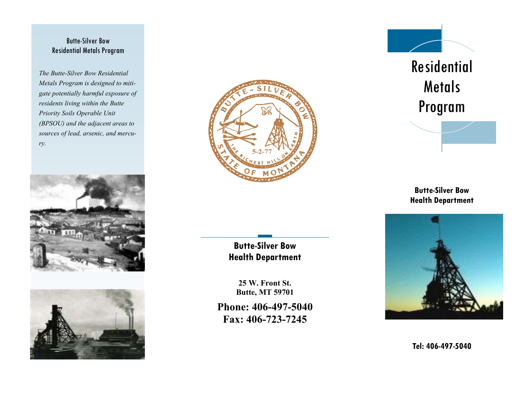#### Butte-Silver Bow Residential Metals Program

*The Butte-Silver Bow Residential Metals Program is designed to mitigate potentially harmful exposure of residents living within the Butte Priority Soils Operable Unit (BPSOU) and the adjacent areas to sources of lead, arsenic, and mercury.*







**Butte-Silver Bow Health Department**

**25 W. Front St. Butte, MT 59701**

**Phone: 406-497-5040 Fax: 406-723-7245**



# Residential Metals Program

**Butte-Silver Bow Health Department**



**Tel: 406-497-5040**